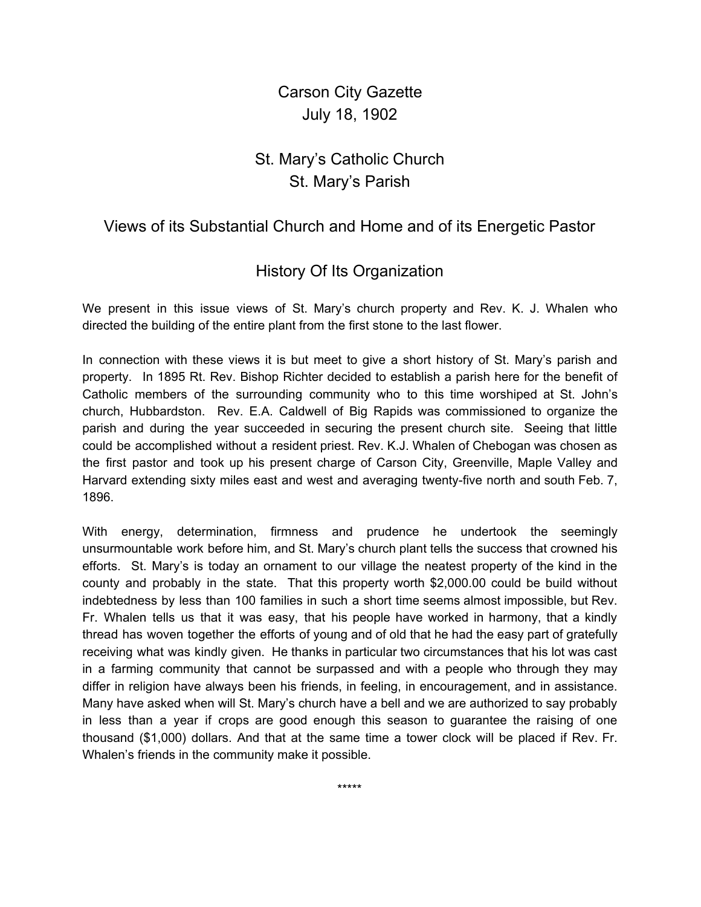Carson City Gazette July 18, 1902

## St. Mary's Catholic Church St. Mary's Parish

## Views of its Substantial Church and Home and of its Energetic Pastor

## History Of Its Organization

We present in this issue views of St. Mary's church property and Rev. K. J. Whalen who directed the building of the entire plant from the first stone to the last flower.

In connection with these views it is but meet to give a short history of St. Mary's parish and property. In 1895 Rt. Rev. Bishop Richter decided to establish a parish here for the benefit of Catholic members of the surrounding community who to this time worshiped at St. John's church, Hubbardston. Rev. E.A. Caldwell of Big Rapids was commissioned to organize the parish and during the year succeeded in securing the present church site. Seeing that little could be accomplished without a resident priest. Rev. K.J. Whalen of Chebogan was chosen as the first pastor and took up his present charge of Carson City, Greenville, Maple Valley and Harvard extending sixty miles east and west and averaging twenty-five north and south Feb. 7, 1896.

With energy, determination, firmness and prudence he undertook the seemingly unsurmountable work before him, and St. Mary's church plant tells the success that crowned his efforts. St. Mary's is today an ornament to our village the neatest property of the kind in the county and probably in the state. That this property worth \$2,000.00 could be build without indebtedness by less than 100 families in such a short time seems almost impossible, but Rev. Fr. Whalen tells us that it was easy, that his people have worked in harmony, that a kindly thread has woven together the efforts of young and of old that he had the easy part of gratefully receiving what was kindly given. He thanks in particular two circumstances that his lot was cast in a farming community that cannot be surpassed and with a people who through they may differ in religion have always been his friends, in feeling, in encouragement, and in assistance. Many have asked when will St. Mary's church have a bell and we are authorized to say probably in less than a year if crops are good enough this season to guarantee the raising of one thousand (\$1,000) dollars. And that at the same time a tower clock will be placed if Rev. Fr. Whalen's friends in the community make it possible.